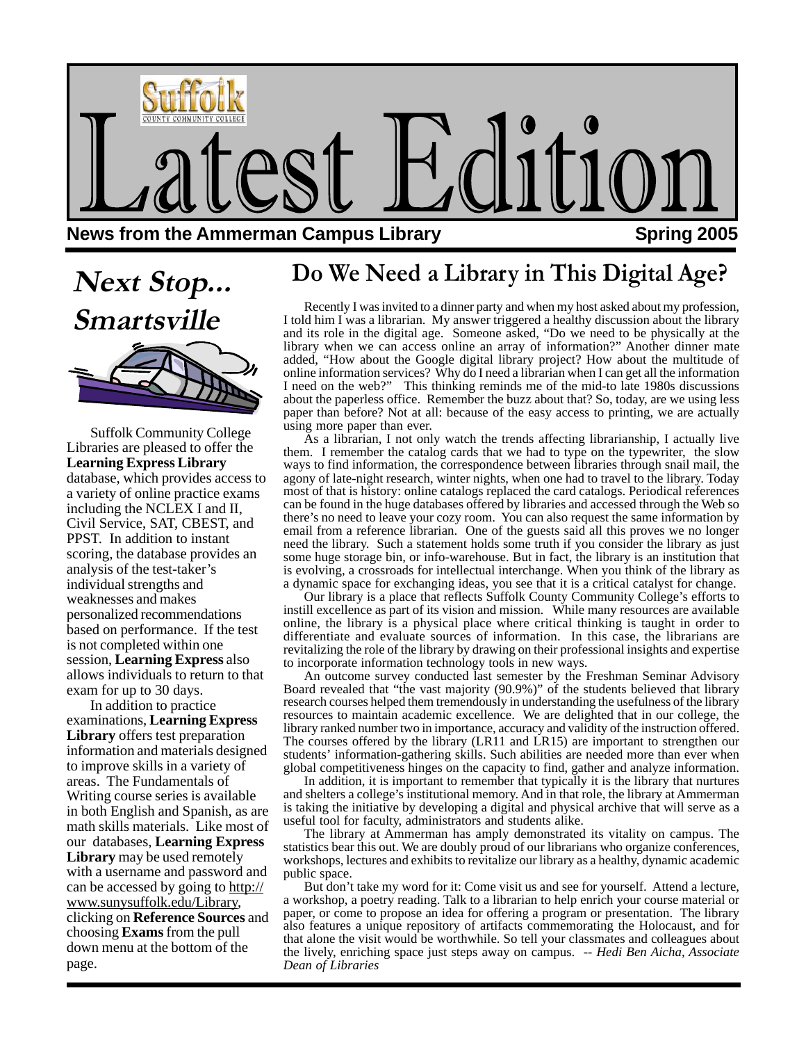

# **Next Stop...**



Suffolk Community College Libraries are pleased to offer the **Learning Express Library** database, which provides access to a variety of online practice exams including the NCLEX I and II, Civil Service, SAT, CBEST, and PPST. In addition to instant scoring, the database provides an analysis of the test-taker's individual strengths and weaknesses and makes personalized recommendations based on performance. If the test is not completed within one session, **Learning Express** also allows individuals to return to that exam for up to 30 days.

In addition to practice examinations, **Learning Express Library** offers test preparation information and materials designed to improve skills in a variety of areas. The Fundamentals of Writing course series is available in both English and Spanish, as are math skills materials. Like most of our databases, **Learning Express Library** may be used remotely with a username and password and can be accessed by going to http:// www.sunysuffolk.edu/Library, clicking on **Reference Sources** and choosing **Exams** from the pull down menu at the bottom of the page.

### **Do We Need a Library in This Digital Age?**

Recently I was invited to a dinner party and when my host asked about my profession,<br> **Smartsville** I told him I was a librarian. My answer triggered a healthy discussion about the library and its role in the digital age. Someone asked, "Do we need to be physically at the library when we can access online an array of information?" Another dinner mate added, "How about the Google digital library project? How about the multitude of online information services? Why do I need a librarian when I can get all the information I need on the web?" This thinking reminds me of the mid-to late 1980s discussions about the paperless office. Remember the buzz about that? So, today, are we using less paper than before? Not at all: because of the easy access to printing, we are actually using more paper than ever.

As a librarian, I not only watch the trends affecting librarianship, I actually live them. I remember the catalog cards that we had to type on the typewriter, the slow ways to find information, the correspondence between libraries through snail mail, the agony of late-night research, winter nights, when one had to travel to the library. Today most of that is history: online catalogs replaced the card catalogs. Periodical references can be found in the huge databases offered by libraries and accessed through the Web so there's no need to leave your cozy room. You can also request the same information by email from a reference librarian. One of the guests said all this proves we no longer need the library. Such a statement holds some truth if you consider the library as just some huge storage bin, or info-warehouse. But in fact, the library is an institution that is evolving, a crossroads for intellectual interchange. When you think of the library as a dynamic space for exchanging ideas, you see that it is a critical catalyst for change.

Our library is a place that reflects Suffolk County Community College's efforts to instill excellence as part of its vision and mission. While many resources are available online, the library is a physical place where critical thinking is taught in order to differentiate and evaluate sources of information. In this case, the librarians are revitalizing the role of the library by drawing on their professional insights and expertise to incorporate information technology tools in new ways.

An outcome survey conducted last semester by the Freshman Seminar Advisory Board revealed that "the vast majority (90.9%)" of the students believed that library research courses helped them tremendously in understanding the usefulness of the library resources to maintain academic excellence. We are delighted that in our college, the library ranked number two in importance, accuracy and validity of the instruction offered. The courses offered by the library (LR11 and LR15) are important to strengthen our students' information-gathering skills. Such abilities are needed more than ever when global competitiveness hinges on the capacity to find, gather and analyze information.

In addition, it is important to remember that typically it is the library that nurtures and shelters a college's institutional memory. And in that role, the library at Ammerman is taking the initiative by developing a digital and physical archive that will serve as a useful tool for faculty, administrators and students alike.

The library at Ammerman has amply demonstrated its vitality on campus. The statistics bear this out. We are doubly proud of our librarians who organize conferences, workshops, lectures and exhibits to revitalize our library as a healthy, dynamic academic public space.

But don't take my word for it: Come visit us and see for yourself. Attend a lecture, a workshop, a poetry reading. Talk to a librarian to help enrich your course material or paper, or come to propose an idea for offering a program or presentation. The library also features a unique repository of artifacts commemorating the Holocaust, and for that alone the visit would be worthwhile. So tell your classmates and colleagues about the lively, enriching space just steps away on campus. *-- Hedi Ben Aicha, Associate Dean of Libraries*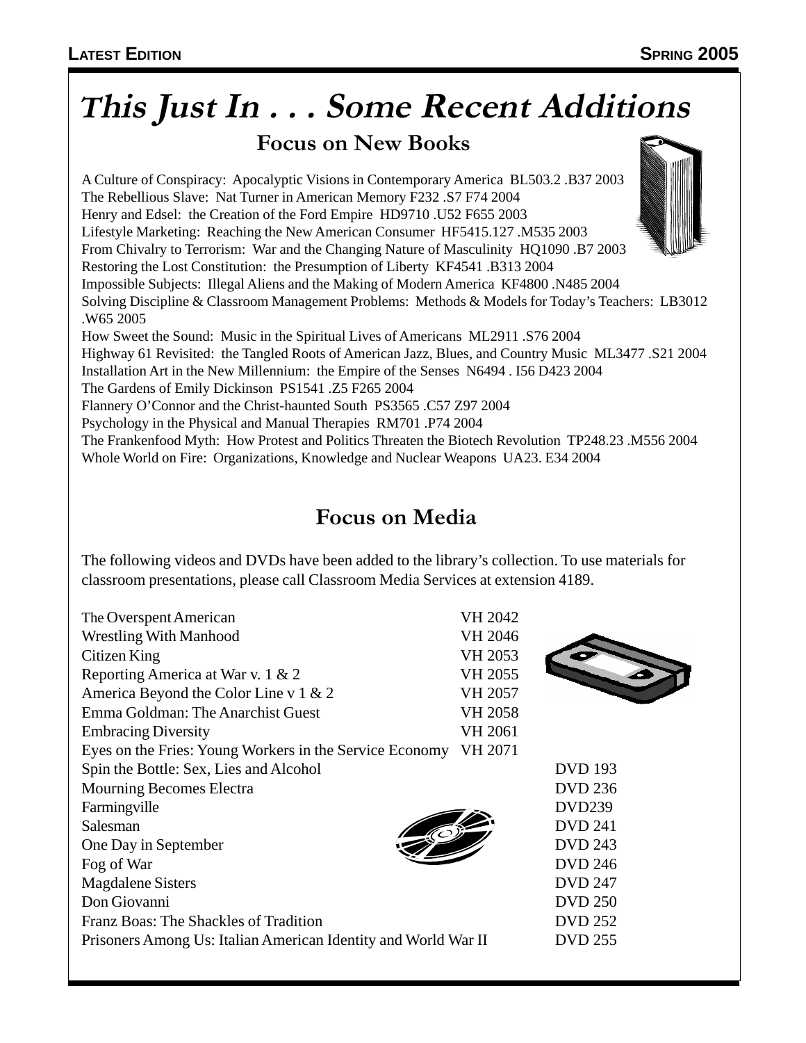# **<sup>T</sup>his Just In . . . Some Recent Additions**

**Focus on New Books**

A Culture of Conspiracy: Apocalyptic Visions in Contemporary America BL503.2 .B37 2003 The Rebellious Slave: Nat Turner in American Memory F232 .S7 F74 2004 Henry and Edsel: the Creation of the Ford Empire HD9710 .U52 F655 2003 Lifestyle Marketing: Reaching the New American Consumer HF5415.127 .M535 2003 From Chivalry to Terrorism: War and the Changing Nature of Masculinity HQ1090 .B7 2003 Restoring the Lost Constitution: the Presumption of Liberty KF4541 .B313 2004 Impossible Subjects: Illegal Aliens and the Making of Modern America KF4800 .N485 2004 Solving Discipline & Classroom Management Problems: Methods & Models for Today's Teachers: LB3012 .W65 2005 How Sweet the Sound: Music in the Spiritual Lives of Americans ML2911 .S76 2004 Highway 61 Revisited: the Tangled Roots of American Jazz, Blues, and Country Music ML3477 .S21 2004 Installation Art in the New Millennium: the Empire of the Senses N6494 . I56 D423 2004 The Gardens of Emily Dickinson PS1541 .Z5 F265 2004 Flannery O'Connor and the Christ-haunted South PS3565 .C57 Z97 2004 Psychology in the Physical and Manual Therapies RM701 .P74 2004 The Frankenfood Myth: How Protest and Politics Threaten the Biotech Revolution TP248.23 .M556 2004 Whole World on Fire: Organizations, Knowledge and Nuclear Weapons UA23. E34 2004

### **Focus on Media**

The following videos and DVDs have been added to the library's collection. To use materials for classroom presentations, please call Classroom Media Services at extension 4189.

| The Overspent American                                         | VH 2042 |                |
|----------------------------------------------------------------|---------|----------------|
| <b>Wrestling With Manhood</b>                                  | VH 2046 |                |
| Citizen King                                                   | VH 2053 |                |
| Reporting America at War v. 1 & 2                              | VH 2055 |                |
| America Beyond the Color Line v $1 \& 2$                       | VH 2057 |                |
| Emma Goldman: The Anarchist Guest                              | VH 2058 |                |
| <b>Embracing Diversity</b>                                     | VH 2061 |                |
| Eyes on the Fries: Young Workers in the Service Economy        | VH 2071 |                |
| Spin the Bottle: Sex, Lies and Alcohol                         |         | <b>DVD</b> 193 |
| Mourning Becomes Electra                                       |         | <b>DVD 236</b> |
| Farmingville                                                   |         | <b>DVD239</b>  |
| Salesman                                                       |         | <b>DVD 241</b> |
| One Day in September                                           |         | <b>DVD 243</b> |
| Fog of War                                                     |         | <b>DVD 246</b> |
| <b>Magdalene Sisters</b>                                       |         | <b>DVD 247</b> |
| Don Giovanni                                                   |         | <b>DVD 250</b> |
| Franz Boas: The Shackles of Tradition                          |         | <b>DVD 252</b> |
| Prisoners Among Us: Italian American Identity and World War II |         | <b>DVD 255</b> |
|                                                                |         |                |

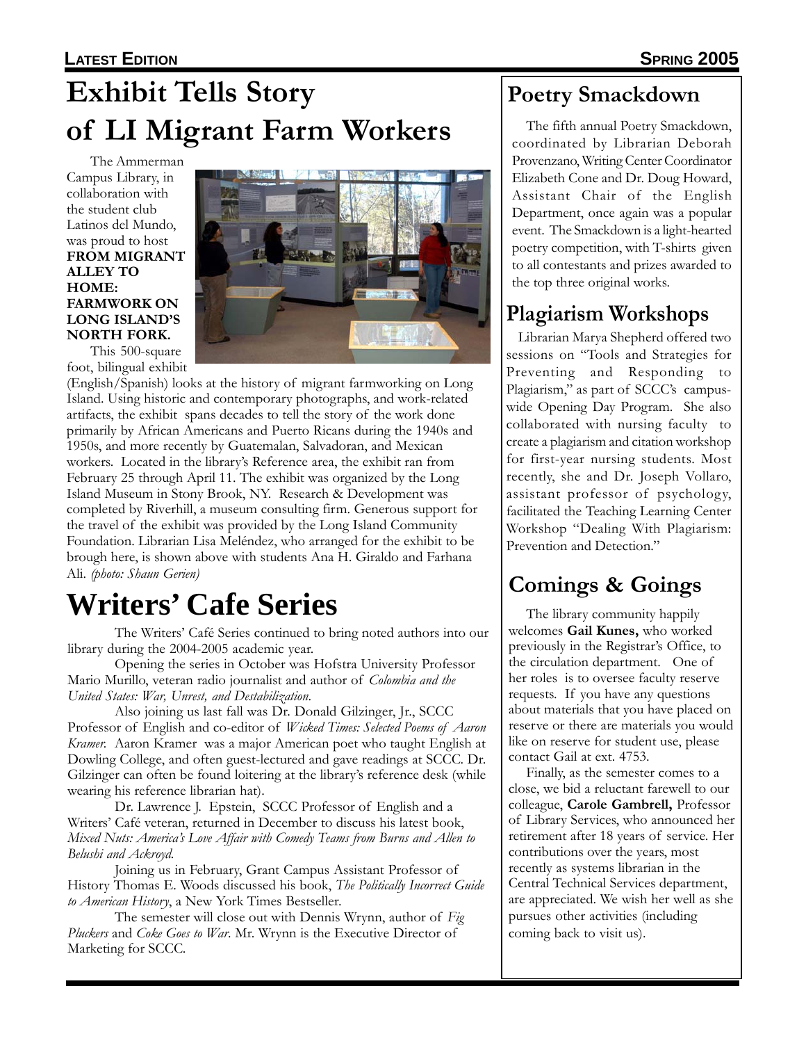### **LATEST EDITION SPRING 2005**

## **Exhibit Tells Story Poetry Smackdown of LI Migrant Farm Workers**

The Ammerman Campus Library, in collaboration with the student club Latinos del Mundo, was proud to host **FROM MIGRANT ALLEY TO HOME: FARMWORK ON LONG ISLAND'S NORTH FORK.**



This 500-square foot, bilingual exhibit

(English/Spanish) looks at the history of migrant farmworking on Long Island. Using historic and contemporary photographs, and work-related artifacts, the exhibit spans decades to tell the story of the work done primarily by African Americans and Puerto Ricans during the 1940s and 1950s, and more recently by Guatemalan, Salvadoran, and Mexican workers. Located in the library's Reference area, the exhibit ran from February 25 through April 11. The exhibit was organized by the Long Island Museum in Stony Brook, NY. Research & Development was completed by Riverhill, a museum consulting firm. Generous support for the travel of the exhibit was provided by the Long Island Community Foundation. Librarian Lisa Meléndez, who arranged for the exhibit to be brough here, is shown above with students Ana H. Giraldo and Farhana Ali. *(photo: Shaun Gerien)*

# **Writers' Cafe Series Cafe Series Comings & Goings**

The Writers' Café Series continued to bring noted authors into our library during the 2004-2005 academic year.

Opening the series in October was Hofstra University Professor Mario Murillo, veteran radio journalist and author of *Colombia and the United States: War, Unrest, and Destabilization*.

Also joining us last fall was Dr. Donald Gilzinger, Jr., SCCC Professor of English and co-editor of *Wicked Times: Selected Poems of Aaron Kramer.* Aaron Kramer was a major American poet who taught English at Dowling College, and often guest-lectured and gave readings at SCCC. Dr. Gilzinger can often be found loitering at the library's reference desk (while wearing his reference librarian hat).

Dr. Lawrence J. Epstein, SCCC Professor of English and a Writers' Café veteran, returned in December to discuss his latest book, *Mixed Nuts: America's Love Affair with Comedy Teams from Burns and Allen to Belushi and Ackroyd.*

Joining us in February, Grant Campus Assistant Professor of History Thomas E. Woods discussed his book, *The Politically Incorrect Guide to American History*, a New York Times Bestseller.

The semester will close out with Dennis Wrynn, author of *Fig Pluckers* and *Coke Goes to War*. Mr. Wrynn is the Executive Director of Marketing for SCCC.

 The fifth annual Poetry Smackdown, coordinated by Librarian Deborah Provenzano, Writing Center Coordinator Elizabeth Cone and Dr. Doug Howard, Assistant Chair of the English Department, once again was a popular event. The Smackdown is a light-hearted poetry competition, with T-shirts given to all contestants and prizes awarded to the top three original works.

### **Plagiarism Workshops**

 Librarian Marya Shepherd offered two sessions on "Tools and Strategies for Preventing and Responding to Plagiarism," as part of SCCC's campuswide Opening Day Program. She also collaborated with nursing faculty to create a plagiarism and citation workshop for first-year nursing students. Most recently, she and Dr. Joseph Vollaro, assistant professor of psychology, facilitated the Teaching Learning Center Workshop "Dealing With Plagiarism: Prevention and Detection."

The library community happily welcomes **Gail Kunes,** who worked previously in the Registrar's Office, to the circulation department. One of her roles is to oversee faculty reserve requests. If you have any questions about materials that you have placed on reserve or there are materials you would like on reserve for student use, please contact Gail at ext. 4753.

Finally, as the semester comes to a close, we bid a reluctant farewell to our colleague, **Carole Gambrell,** Professor of Library Services, who announced her retirement after 18 years of service. Her contributions over the years, most recently as systems librarian in the Central Technical Services department, are appreciated. We wish her well as she pursues other activities (including coming back to visit us).